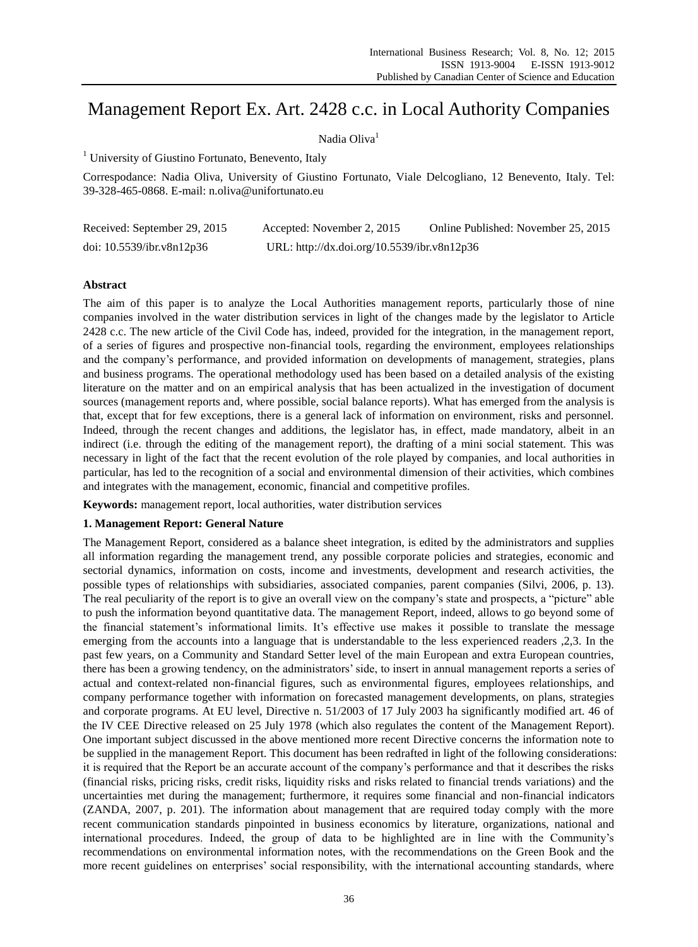# Management Report Ex. Art. 2428 c.c. in Local Authority Companies

Nadia Oliva<sup>1</sup>

<sup>1</sup> University of Giustino Fortunato, Benevento, Italy

Correspodance: Nadia Oliva, University of Giustino Fortunato, Viale Delcogliano, 12 Benevento, Italy. Tel: 39-328-465-0868. E-mail: n.oliva@unifortunato.eu

| Received: September 29, 2015 | Accepted: November 2, 2015                  | Online Published: November 25, 2015 |
|------------------------------|---------------------------------------------|-------------------------------------|
| doi: $10.5539$ /ibr.v8n12p36 | URL: http://dx.doi.org/10.5539/ibr.v8n12p36 |                                     |

### **Abstract**

The aim of this paper is to analyze the Local Authorities management reports, particularly those of nine companies involved in the water distribution services in light of the changes made by the legislator to Article 2428 c.c. The new article of the Civil Code has, indeed, provided for the integration, in the management report, of a series of figures and prospective non-financial tools, regarding the environment, employees relationships and the company's performance, and provided information on developments of management, strategies, plans and business programs. The operational methodology used has been based on a detailed analysis of the existing literature on the matter and on an empirical analysis that has been actualized in the investigation of document sources (management reports and, where possible, social balance reports). What has emerged from the analysis is that, except that for few exceptions, there is a general lack of information on environment, risks and personnel. Indeed, through the recent changes and additions, the legislator has, in effect, made mandatory, albeit in an indirect (i.e. through the editing of the management report), the drafting of a mini social statement. This was necessary in light of the fact that the recent evolution of the role played by companies, and local authorities in particular, has led to the recognition of a social and environmental dimension of their activities, which combines and integrates with the management, economic, financial and competitive profiles.

**Keywords:** management report, local authorities, water distribution services

### **1. Management Report: General Nature**

The Management Report, considered as a balance sheet integration, is edited by the administrators and supplies all information regarding the management trend, any possible corporate policies and strategies, economic and sectorial dynamics, information on costs, income and investments, development and research activities, the possible types of relationships with subsidiaries, associated companies, parent companies (Silvi, 2006, p. 13). The real peculiarity of the report is to give an overall view on the company's state and prospects, a "picture" able to push the information beyond quantitative data. The management Report, indeed, allows to go beyond some of the financial statement's informational limits. It's effective use makes it possible to translate the message emerging from the accounts into a language that is understandable to the less experienced readers ,2,3. In the past few years, on a Community and Standard Setter level of the main European and extra European countries, there has been a growing tendency, on the administrators' side, to insert in annual management reports a series of actual and context-related non-financial figures, such as environmental figures, employees relationships, and company performance together with information on forecasted management developments, on plans, strategies and corporate programs. At EU level, Directive n. 51/2003 of 17 July 2003 ha significantly modified art. 46 of the IV CEE Directive released on 25 July 1978 (which also regulates the content of the Management Report). One important subject discussed in the above mentioned more recent Directive concerns the information note to be supplied in the management Report. This document has been redrafted in light of the following considerations: it is required that the Report be an accurate account of the company's performance and that it describes the risks (financial risks, pricing risks, credit risks, liquidity risks and risks related to financial trends variations) and the uncertainties met during the management; furthermore, it requires some financial and non-financial indicators (ZANDA, 2007, p. 201). The information about management that are required today comply with the more recent communication standards pinpointed in business economics by literature, organizations, national and international procedures. Indeed, the group of data to be highlighted are in line with the Community's recommendations on environmental information notes, with the recommendations on the Green Book and the more recent guidelines on enterprises' social responsibility, with the international accounting standards, where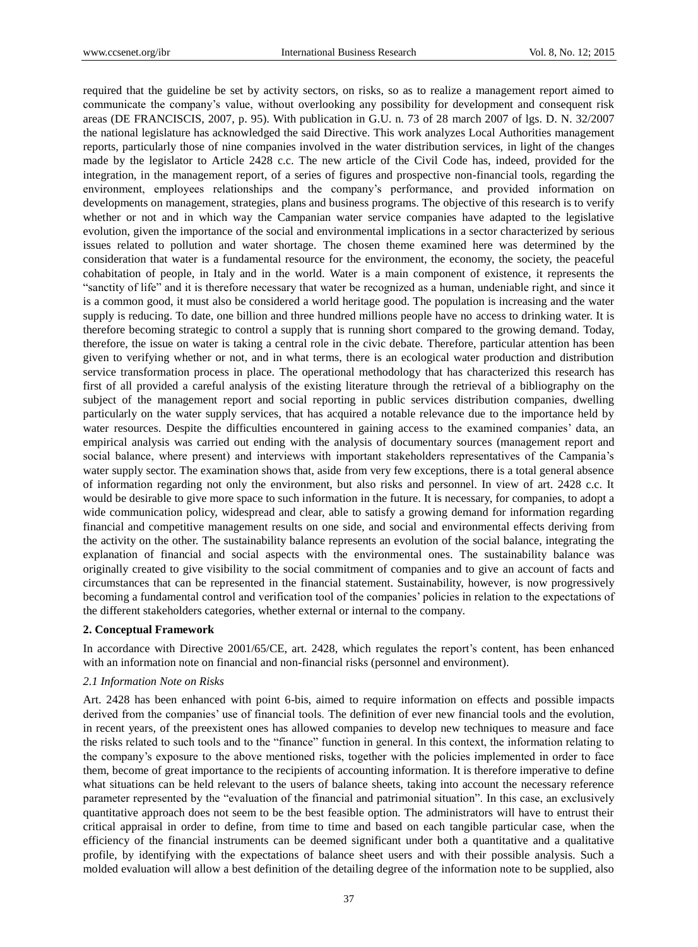required that the guideline be set by activity sectors, on risks, so as to realize a management report aimed to communicate the company's value, without overlooking any possibility for development and consequent risk areas (DE FRANCISCIS, 2007, p. 95). With publication in G.U. n. 73 of 28 march 2007 of lgs. D. N. 32/2007 the national legislature has acknowledged the said Directive. This work analyzes Local Authorities management reports, particularly those of nine companies involved in the water distribution services, in light of the changes made by the legislator to Article 2428 c.c. The new article of the Civil Code has, indeed, provided for the integration, in the management report, of a series of figures and prospective non-financial tools, regarding the environment, employees relationships and the company's performance, and provided information on developments on management, strategies, plans and business programs. The objective of this research is to verify whether or not and in which way the Campanian water service companies have adapted to the legislative evolution, given the importance of the social and environmental implications in a sector characterized by serious issues related to pollution and water shortage. The chosen theme examined here was determined by the consideration that water is a fundamental resource for the environment, the economy, the society, the peaceful cohabitation of people, in Italy and in the world. Water is a main component of existence, it represents the "sanctity of life" and it is therefore necessary that water be recognized as a human, undeniable right, and since it is a common good, it must also be considered a world heritage good. The population is increasing and the water supply is reducing. To date, one billion and three hundred millions people have no access to drinking water. It is therefore becoming strategic to control a supply that is running short compared to the growing demand. Today, therefore, the issue on water is taking a central role in the civic debate. Therefore, particular attention has been given to verifying whether or not, and in what terms, there is an ecological water production and distribution service transformation process in place. The operational methodology that has characterized this research has first of all provided a careful analysis of the existing literature through the retrieval of a bibliography on the subject of the management report and social reporting in public services distribution companies, dwelling particularly on the water supply services, that has acquired a notable relevance due to the importance held by water resources. Despite the difficulties encountered in gaining access to the examined companies' data, an empirical analysis was carried out ending with the analysis of documentary sources (management report and social balance, where present) and interviews with important stakeholders representatives of the Campania's water supply sector. The examination shows that, aside from very few exceptions, there is a total general absence of information regarding not only the environment, but also risks and personnel. In view of art. 2428 c.c. It would be desirable to give more space to such information in the future. It is necessary, for companies, to adopt a wide communication policy, widespread and clear, able to satisfy a growing demand for information regarding financial and competitive management results on one side, and social and environmental effects deriving from the activity on the other. The sustainability balance represents an evolution of the social balance, integrating the explanation of financial and social aspects with the environmental ones. The sustainability balance was originally created to give visibility to the social commitment of companies and to give an account of facts and circumstances that can be represented in the financial statement. Sustainability, however, is now progressively becoming a fundamental control and verification tool of the companies' policies in relation to the expectations of the different stakeholders categories, whether external or internal to the company.

#### **2. Conceptual Framework**

In accordance with Directive 2001/65/CE, art. 2428, which regulates the report's content, has been enhanced with an information note on financial and non-financial risks (personnel and environment).

### *2.1 Information Note on Risks*

Art. 2428 has been enhanced with point 6-bis, aimed to require information on effects and possible impacts derived from the companies' use of financial tools. The definition of ever new financial tools and the evolution, in recent years, of the preexistent ones has allowed companies to develop new techniques to measure and face the risks related to such tools and to the "finance" function in general. In this context, the information relating to the company's exposure to the above mentioned risks, together with the policies implemented in order to face them, become of great importance to the recipients of accounting information. It is therefore imperative to define what situations can be held relevant to the users of balance sheets, taking into account the necessary reference parameter represented by the "evaluation of the financial and patrimonial situation". In this case, an exclusively quantitative approach does not seem to be the best feasible option. The administrators will have to entrust their critical appraisal in order to define, from time to time and based on each tangible particular case, when the efficiency of the financial instruments can be deemed significant under both a quantitative and a qualitative profile, by identifying with the expectations of balance sheet users and with their possible analysis. Such a molded evaluation will allow a best definition of the detailing degree of the information note to be supplied, also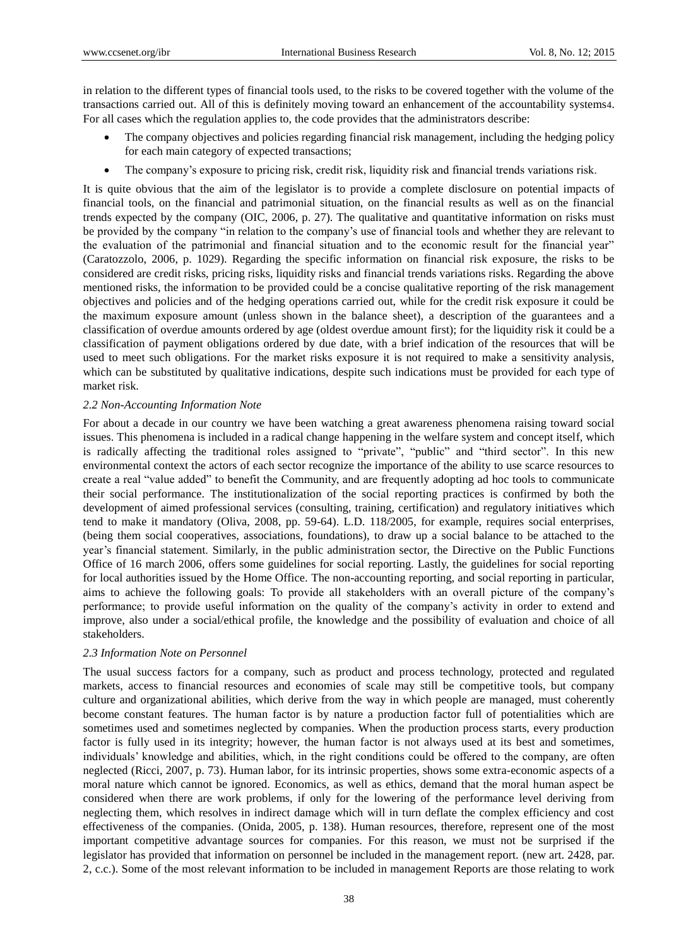in relation to the different types of financial tools used, to the risks to be covered together with the volume of the transactions carried out. All of this is definitely moving toward an enhancement of the accountability systems4. For all cases which the regulation applies to, the code provides that the administrators describe:

- The company objectives and policies regarding financial risk management, including the hedging policy for each main category of expected transactions;
- The company's exposure to pricing risk, credit risk, liquidity risk and financial trends variations risk.

It is quite obvious that the aim of the legislator is to provide a complete disclosure on potential impacts of financial tools, on the financial and patrimonial situation, on the financial results as well as on the financial trends expected by the company (OIC, 2006, p. 27). The qualitative and quantitative information on risks must be provided by the company "in relation to the company's use of financial tools and whether they are relevant to the evaluation of the patrimonial and financial situation and to the economic result for the financial year" (Caratozzolo, 2006, p. 1029). Regarding the specific information on financial risk exposure, the risks to be considered are credit risks, pricing risks, liquidity risks and financial trends variations risks. Regarding the above mentioned risks, the information to be provided could be a concise qualitative reporting of the risk management objectives and policies and of the hedging operations carried out, while for the credit risk exposure it could be the maximum exposure amount (unless shown in the balance sheet), a description of the guarantees and a classification of overdue amounts ordered by age (oldest overdue amount first); for the liquidity risk it could be a classification of payment obligations ordered by due date, with a brief indication of the resources that will be used to meet such obligations. For the market risks exposure it is not required to make a sensitivity analysis, which can be substituted by qualitative indications, despite such indications must be provided for each type of market risk.

### *2.2 Non-Accounting Information Note*

For about a decade in our country we have been watching a great awareness phenomena raising toward social issues. This phenomena is included in a radical change happening in the welfare system and concept itself, which is radically affecting the traditional roles assigned to "private", "public" and "third sector". In this new environmental context the actors of each sector recognize the importance of the ability to use scarce resources to create a real "value added" to benefit the Community, and are frequently adopting ad hoc tools to communicate their social performance. The institutionalization of the social reporting practices is confirmed by both the development of aimed professional services (consulting, training, certification) and regulatory initiatives which tend to make it mandatory (Oliva, 2008, pp. 59-64). L.D. 118/2005, for example, requires social enterprises, (being them social cooperatives, associations, foundations), to draw up a social balance to be attached to the year's financial statement. Similarly, in the public administration sector, the Directive on the Public Functions Office of 16 march 2006, offers some guidelines for social reporting. Lastly, the guidelines for social reporting for local authorities issued by the Home Office. The non-accounting reporting, and social reporting in particular, aims to achieve the following goals: To provide all stakeholders with an overall picture of the company's performance; to provide useful information on the quality of the company's activity in order to extend and improve, also under a social/ethical profile, the knowledge and the possibility of evaluation and choice of all stakeholders.

### *2.3 Information Note on Personnel*

The usual success factors for a company, such as product and process technology, protected and regulated markets, access to financial resources and economies of scale may still be competitive tools, but company culture and organizational abilities, which derive from the way in which people are managed, must coherently become constant features. The human factor is by nature a production factor full of potentialities which are sometimes used and sometimes neglected by companies. When the production process starts, every production factor is fully used in its integrity; however, the human factor is not always used at its best and sometimes, individuals' knowledge and abilities, which, in the right conditions could be offered to the company, are often neglected (Ricci, 2007, p. 73). Human labor, for its intrinsic properties, shows some extra-economic aspects of a moral nature which cannot be ignored. Economics, as well as ethics, demand that the moral human aspect be considered when there are work problems, if only for the lowering of the performance level deriving from neglecting them, which resolves in indirect damage which will in turn deflate the complex efficiency and cost effectiveness of the companies. (Onida, 2005, p. 138). Human resources, therefore, represent one of the most important competitive advantage sources for companies. For this reason, we must not be surprised if the legislator has provided that information on personnel be included in the management report. (new art. 2428, par. 2, c.c.). Some of the most relevant information to be included in management Reports are those relating to work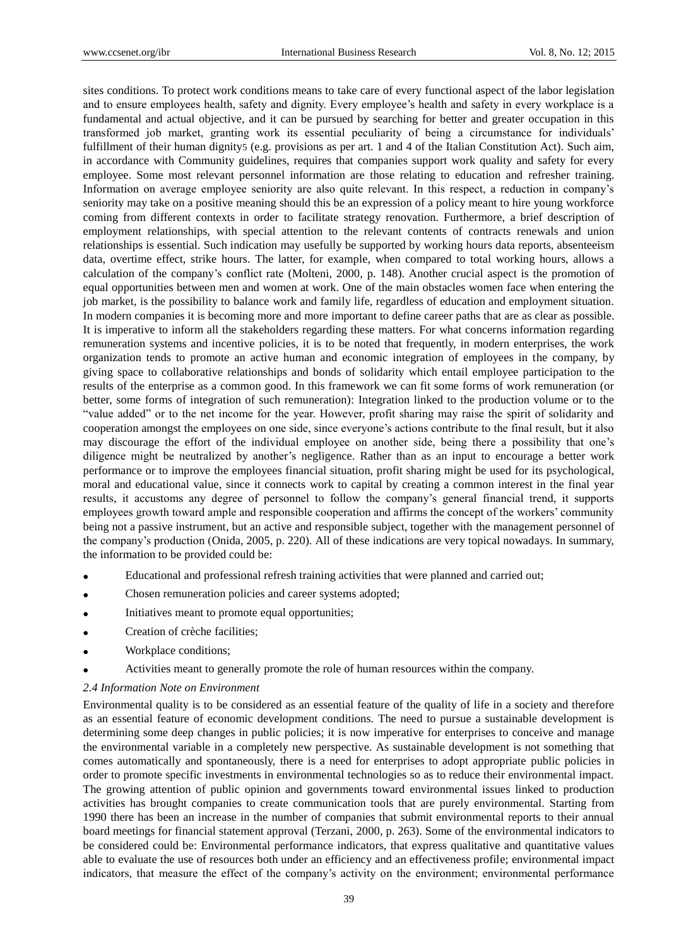sites conditions. To protect work conditions means to take care of every functional aspect of the labor legislation and to ensure employees health, safety and dignity. Every employee's health and safety in every workplace is a fundamental and actual objective, and it can be pursued by searching for better and greater occupation in this transformed job market, granting work its essential peculiarity of being a circumstance for individuals' fulfillment of their human dignity5 (e.g. provisions as per art. 1 and 4 of the Italian Constitution Act). Such aim, in accordance with Community guidelines, requires that companies support work quality and safety for every employee. Some most relevant personnel information are those relating to education and refresher training. Information on average employee seniority are also quite relevant. In this respect, a reduction in company's seniority may take on a positive meaning should this be an expression of a policy meant to hire young workforce coming from different contexts in order to facilitate strategy renovation. Furthermore, a brief description of employment relationships, with special attention to the relevant contents of contracts renewals and union relationships is essential. Such indication may usefully be supported by working hours data reports, absenteeism data, overtime effect, strike hours. The latter, for example, when compared to total working hours, allows a calculation of the company's conflict rate (Molteni, 2000, p. 148). Another crucial aspect is the promotion of equal opportunities between men and women at work. One of the main obstacles women face when entering the job market, is the possibility to balance work and family life, regardless of education and employment situation. In modern companies it is becoming more and more important to define career paths that are as clear as possible. It is imperative to inform all the stakeholders regarding these matters. For what concerns information regarding remuneration systems and incentive policies, it is to be noted that frequently, in modern enterprises, the work organization tends to promote an active human and economic integration of employees in the company, by giving space to collaborative relationships and bonds of solidarity which entail employee participation to the results of the enterprise as a common good. In this framework we can fit some forms of work remuneration (or better, some forms of integration of such remuneration): Integration linked to the production volume or to the "value added" or to the net income for the year. However, profit sharing may raise the spirit of solidarity and cooperation amongst the employees on one side, since everyone's actions contribute to the final result, but it also may discourage the effort of the individual employee on another side, being there a possibility that one's diligence might be neutralized by another's negligence. Rather than as an input to encourage a better work performance or to improve the employees financial situation, profit sharing might be used for its psychological, moral and educational value, since it connects work to capital by creating a common interest in the final year results, it accustoms any degree of personnel to follow the company's general financial trend, it supports employees growth toward ample and responsible cooperation and affirms the concept of the workers' community being not a passive instrument, but an active and responsible subject, together with the management personnel of the company's production (Onida, 2005, p. 220). All of these indications are very topical nowadays. In summary, the information to be provided could be:

- Educational and professional refresh training activities that were planned and carried out;
- Chosen remuneration policies and career systems adopted;
- Initiatives meant to promote equal opportunities;
- Creation of crèche facilities;
- Workplace conditions;
- Activities meant to generally promote the role of human resources within the company.

### *2.4 Information Note on Environment*

Environmental quality is to be considered as an essential feature of the quality of life in a society and therefore as an essential feature of economic development conditions. The need to pursue a sustainable development is determining some deep changes in public policies; it is now imperative for enterprises to conceive and manage the environmental variable in a completely new perspective. As sustainable development is not something that comes automatically and spontaneously, there is a need for enterprises to adopt appropriate public policies in order to promote specific investments in environmental technologies so as to reduce their environmental impact. The growing attention of public opinion and governments toward environmental issues linked to production activities has brought companies to create communication tools that are purely environmental. Starting from 1990 there has been an increase in the number of companies that submit environmental reports to their annual board meetings for financial statement approval (Terzani, 2000, p. 263). Some of the environmental indicators to be considered could be: Environmental performance indicators, that express qualitative and quantitative values able to evaluate the use of resources both under an efficiency and an effectiveness profile; environmental impact indicators, that measure the effect of the company's activity on the environment; environmental performance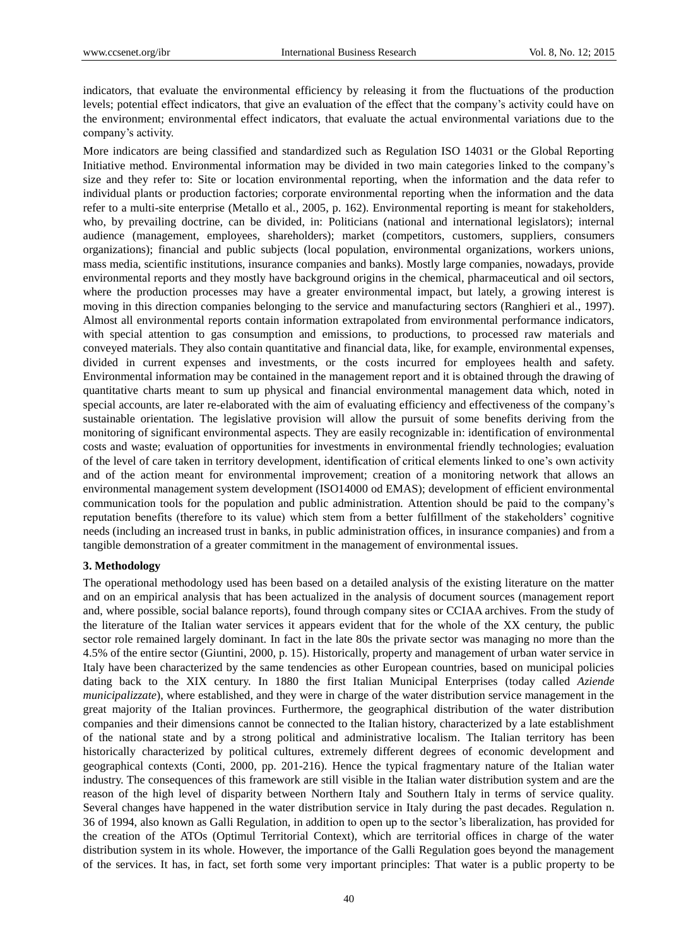indicators, that evaluate the environmental efficiency by releasing it from the fluctuations of the production levels; potential effect indicators, that give an evaluation of the effect that the company's activity could have on the environment; environmental effect indicators, that evaluate the actual environmental variations due to the company's activity.

More indicators are being classified and standardized such as Regulation ISO 14031 or the Global Reporting Initiative method. Environmental information may be divided in two main categories linked to the company's size and they refer to: Site or location environmental reporting, when the information and the data refer to individual plants or production factories; corporate environmental reporting when the information and the data refer to a multi-site enterprise (Metallo et al., 2005, p. 162). Environmental reporting is meant for stakeholders, who, by prevailing doctrine, can be divided, in: Politicians (national and international legislators); internal audience (management, employees, shareholders); market (competitors, customers, suppliers, consumers organizations); financial and public subjects (local population, environmental organizations, workers unions, mass media, scientific institutions, insurance companies and banks). Mostly large companies, nowadays, provide environmental reports and they mostly have background origins in the chemical, pharmaceutical and oil sectors, where the production processes may have a greater environmental impact, but lately, a growing interest is moving in this direction companies belonging to the service and manufacturing sectors (Ranghieri et al., 1997). Almost all environmental reports contain information extrapolated from environmental performance indicators, with special attention to gas consumption and emissions, to productions, to processed raw materials and conveyed materials. They also contain quantitative and financial data, like, for example, environmental expenses, divided in current expenses and investments, or the costs incurred for employees health and safety. Environmental information may be contained in the management report and it is obtained through the drawing of quantitative charts meant to sum up physical and financial environmental management data which, noted in special accounts, are later re-elaborated with the aim of evaluating efficiency and effectiveness of the company's sustainable orientation. The legislative provision will allow the pursuit of some benefits deriving from the monitoring of significant environmental aspects. They are easily recognizable in: identification of environmental costs and waste; evaluation of opportunities for investments in environmental friendly technologies; evaluation of the level of care taken in territory development, identification of critical elements linked to one's own activity and of the action meant for environmental improvement; creation of a monitoring network that allows an environmental management system development (ISO14000 od EMAS); development of efficient environmental communication tools for the population and public administration. Attention should be paid to the company's reputation benefits (therefore to its value) which stem from a better fulfillment of the stakeholders' cognitive needs (including an increased trust in banks, in public administration offices, in insurance companies) and from a tangible demonstration of a greater commitment in the management of environmental issues.

### **3. Methodology**

The operational methodology used has been based on a detailed analysis of the existing literature on the matter and on an empirical analysis that has been actualized in the analysis of document sources (management report and, where possible, social balance reports), found through company sites or CCIAA archives. From the study of the literature of the Italian water services it appears evident that for the whole of the XX century, the public sector role remained largely dominant. In fact in the late 80s the private sector was managing no more than the 4.5% of the entire sector (Giuntini, 2000, p. 15). Historically, property and management of urban water service in Italy have been characterized by the same tendencies as other European countries, based on municipal policies dating back to the XIX century. In 1880 the first Italian Municipal Enterprises (today called *Aziende municipalizzate*), where established, and they were in charge of the water distribution service management in the great majority of the Italian provinces. Furthermore, the geographical distribution of the water distribution companies and their dimensions cannot be connected to the Italian history, characterized by a late establishment of the national state and by a strong political and administrative localism. The Italian territory has been historically characterized by political cultures, extremely different degrees of economic development and geographical contexts (Conti, 2000, pp. 201-216). Hence the typical fragmentary nature of the Italian water industry. The consequences of this framework are still visible in the Italian water distribution system and are the reason of the high level of disparity between Northern Italy and Southern Italy in terms of service quality. Several changes have happened in the water distribution service in Italy during the past decades. Regulation n. 36 of 1994, also known as Galli Regulation, in addition to open up to the sector's liberalization, has provided for the creation of the ATOs (Optimul Territorial Context), which are territorial offices in charge of the water distribution system in its whole. However, the importance of the Galli Regulation goes beyond the management of the services. It has, in fact, set forth some very important principles: That water is a public property to be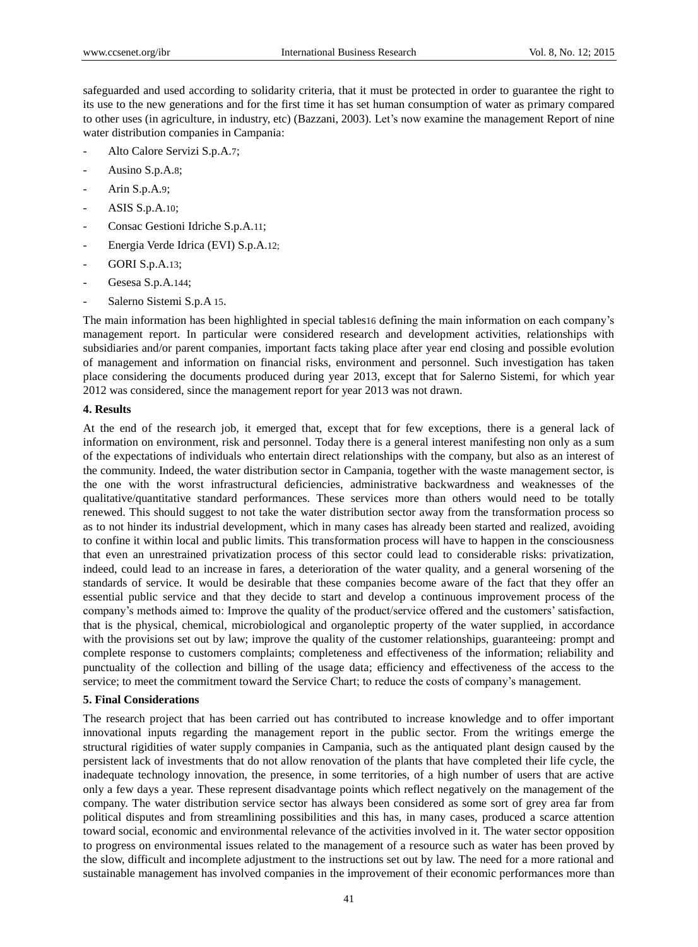safeguarded and used according to solidarity criteria, that it must be protected in order to guarantee the right to its use to the new generations and for the first time it has set human consumption of water as primary compared to other uses (in agriculture, in industry, etc) (Bazzani, 2003). Let's now examine the management Report of nine water distribution companies in Campania:

- Alto Calore Servizi S.p.A.7;
- Ausino S.p.A.8;
- Arin S.p.A.9;
- ASIS S.p.A.10;
- Consac Gestioni Idriche S.p.A.11;
- Energia Verde Idrica (EVI) S.p.A.12;
- GORI S.p.A.13;
- Gesesa S.p.A.144;
- Salerno Sistemi S.p.A 15.

The main information has been highlighted in special tables16 defining the main information on each company's management report. In particular were considered research and development activities, relationships with subsidiaries and/or parent companies, important facts taking place after year end closing and possible evolution of management and information on financial risks, environment and personnel. Such investigation has taken place considering the documents produced during year 2013, except that for Salerno Sistemi, for which year 2012 was considered, since the management report for year 2013 was not drawn.

#### **4. Results**

At the end of the research job, it emerged that, except that for few exceptions, there is a general lack of information on environment, risk and personnel. Today there is a general interest manifesting non only as a sum of the expectations of individuals who entertain direct relationships with the company, but also as an interest of the community. Indeed, the water distribution sector in Campania, together with the waste management sector, is the one with the worst infrastructural deficiencies, administrative backwardness and weaknesses of the qualitative/quantitative standard performances. These services more than others would need to be totally renewed. This should suggest to not take the water distribution sector away from the transformation process so as to not hinder its industrial development, which in many cases has already been started and realized, avoiding to confine it within local and public limits. This transformation process will have to happen in the consciousness that even an unrestrained privatization process of this sector could lead to considerable risks: privatization, indeed, could lead to an increase in fares, a deterioration of the water quality, and a general worsening of the standards of service. It would be desirable that these companies become aware of the fact that they offer an essential public service and that they decide to start and develop a continuous improvement process of the company's methods aimed to: Improve the quality of the product/service offered and the customers' satisfaction, that is the physical, chemical, microbiological and organoleptic property of the water supplied, in accordance with the provisions set out by law; improve the quality of the customer relationships, guaranteeing: prompt and complete response to customers complaints; completeness and effectiveness of the information; reliability and punctuality of the collection and billing of the usage data; efficiency and effectiveness of the access to the service; to meet the commitment toward the Service Chart; to reduce the costs of company's management.

#### **5. Final Considerations**

The research project that has been carried out has contributed to increase knowledge and to offer important innovational inputs regarding the management report in the public sector. From the writings emerge the structural rigidities of water supply companies in Campania, such as the antiquated plant design caused by the persistent lack of investments that do not allow renovation of the plants that have completed their life cycle, the inadequate technology innovation, the presence, in some territories, of a high number of users that are active only a few days a year. These represent disadvantage points which reflect negatively on the management of the company. The water distribution service sector has always been considered as some sort of grey area far from political disputes and from streamlining possibilities and this has, in many cases, produced a scarce attention toward social, economic and environmental relevance of the activities involved in it. The water sector opposition to progress on environmental issues related to the management of a resource such as water has been proved by the slow, difficult and incomplete adjustment to the instructions set out by law. The need for a more rational and sustainable management has involved companies in the improvement of their economic performances more than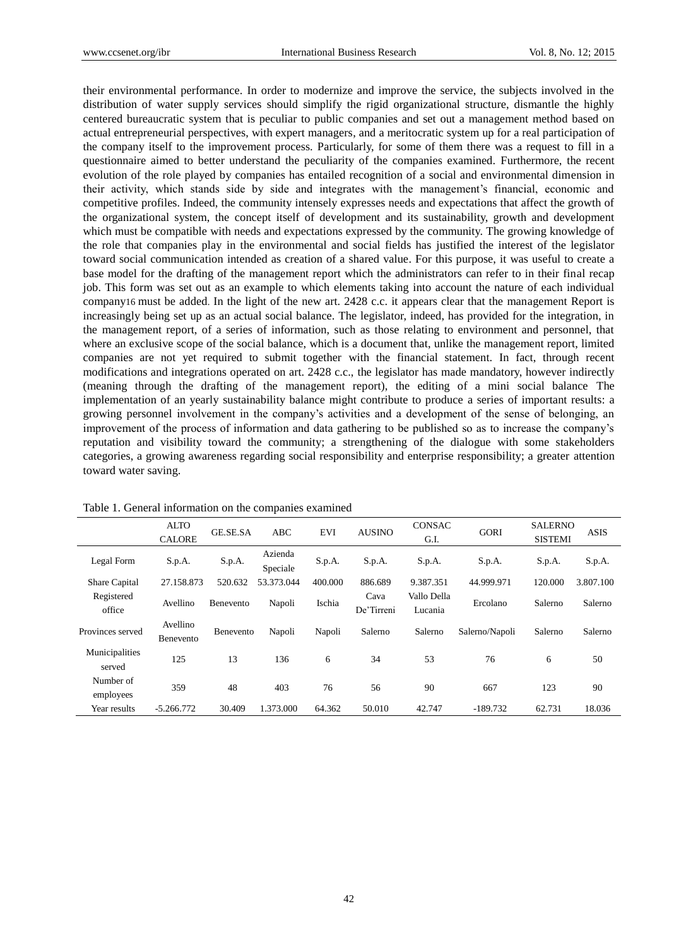their environmental performance. In order to modernize and improve the service, the subjects involved in the distribution of water supply services should simplify the rigid organizational structure, dismantle the highly centered bureaucratic system that is peculiar to public companies and set out a management method based on actual entrepreneurial perspectives, with expert managers, and a meritocratic system up for a real participation of the company itself to the improvement process. Particularly, for some of them there was a request to fill in a questionnaire aimed to better understand the peculiarity of the companies examined. Furthermore, the recent evolution of the role played by companies has entailed recognition of a social and environmental dimension in their activity, which stands side by side and integrates with the management's financial, economic and competitive profiles. Indeed, the community intensely expresses needs and expectations that affect the growth of the organizational system, the concept itself of development and its sustainability, growth and development which must be compatible with needs and expectations expressed by the community. The growing knowledge of the role that companies play in the environmental and social fields has justified the interest of the legislator toward social communication intended as creation of a shared value. For this purpose, it was useful to create a base model for the drafting of the management report which the administrators can refer to in their final recap job. This form was set out as an example to which elements taking into account the nature of each individual company16 must be added. In the light of the new art. 2428 c.c. it appears clear that the management Report is increasingly being set up as an actual social balance. The legislator, indeed, has provided for the integration, in the management report, of a series of information, such as those relating to environment and personnel, that where an exclusive scope of the social balance, which is a document that, unlike the management report, limited companies are not yet required to submit together with the financial statement. In fact, through recent modifications and integrations operated on art. 2428 c.c., the legislator has made mandatory, however indirectly (meaning through the drafting of the management report), the editing of a mini social balance The implementation of an yearly sustainability balance might contribute to produce a series of important results: a growing personnel involvement in the company's activities and a development of the sense of belonging, an improvement of the process of information and data gathering to be published so as to increase the company's reputation and visibility toward the community; a strengthening of the dialogue with some stakeholders categories, a growing awareness regarding social responsibility and enterprise responsibility; a greater attention toward water saving.

|                          | <b>ALTO</b><br><b>CALORE</b> | GE.SE.SA  | <b>ABC</b>          | <b>EVI</b> | <b>AUSINO</b>      | <b>CONSAC</b><br>G.I.  | <b>GORI</b>    | <b>SALERNO</b><br><b>SISTEMI</b> | <b>ASIS</b> |
|--------------------------|------------------------------|-----------|---------------------|------------|--------------------|------------------------|----------------|----------------------------------|-------------|
| Legal Form               | S.p.A.                       | S.p.A.    | Azienda<br>Speciale | S.p.A.     | S.p.A.             | S.p.A.                 | S.p.A.         | S.p.A.                           | S.p.A.      |
| Share Capital            | 27.158.873                   | 520.632   | 53.373.044          | 400.000    | 886.689            | 9.387.351              | 44.999.971     | 120.000                          | 3.807.100   |
| Registered<br>office     | Avellino                     | Benevento | Napoli              | Ischia     | Cava<br>De'Tirreni | Vallo Della<br>Lucania | Ercolano       | Salerno                          | Salerno     |
| Provinces served         | Avellino<br>Benevento        | Benevento | Napoli              | Napoli     | Salerno            | Salerno                | Salerno/Napoli | Salerno                          | Salerno     |
| Municipalities<br>served | 125                          | 13        | 136                 | 6          | 34                 | 53                     | 76             | 6                                | 50          |
| Number of<br>employees   | 359                          | 48        | 403                 | 76         | 56                 | 90                     | 667            | 123                              | 90          |
| Year results             | $-5.266.772$                 | 30.409    | 1.373.000           | 64.362     | 50.010             | 42.747                 | $-189.732$     | 62.731                           | 18.036      |

Table 1. General information on the companies examined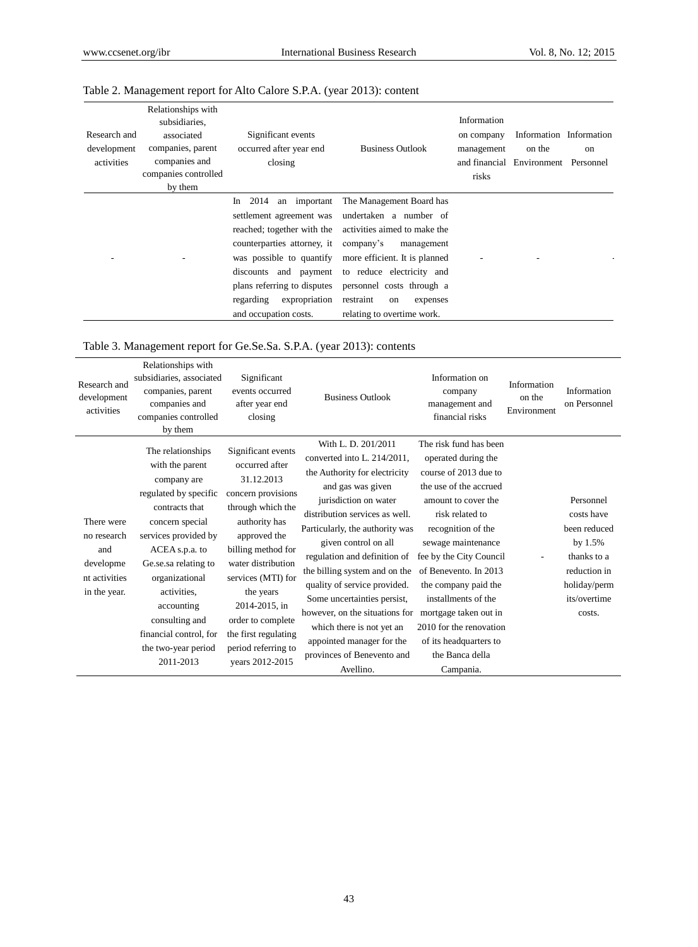# Table 2. Management report for Alto Calore S.P.A. (year 2013): content

| Research and<br>development<br>activities | Relationships with<br>subsidiaries.<br>associated<br>companies, parent<br>companies and<br>companies controlled<br>by them | Significant events<br>occurred after year end<br>closing                                                             | <b>Business Outlook</b>                                                                                                                                                                                                                                                                                                                                                                 | Information<br>on company<br>management<br>risks | Information Information<br>on the<br>and financial Environment Personnel | on |
|-------------------------------------------|----------------------------------------------------------------------------------------------------------------------------|----------------------------------------------------------------------------------------------------------------------|-----------------------------------------------------------------------------------------------------------------------------------------------------------------------------------------------------------------------------------------------------------------------------------------------------------------------------------------------------------------------------------------|--------------------------------------------------|--------------------------------------------------------------------------|----|
|                                           |                                                                                                                            | In 2014 an important<br>counterparties attorney, it company's<br>expropriation<br>regarding<br>and occupation costs. | The Management Board has<br>settlement agreement was undertaken a number of<br>reached; together with the activities aimed to make the<br>management<br>was possible to quantify more efficient. It is planned<br>discounts and payment to reduce electricity and<br>plans referring to disputes personnel costs through a<br>restraint<br>on<br>expenses<br>relating to overtime work. |                                                  |                                                                          |    |

### Table 3. Management report for Ge.Se.Sa. S.P.A. (year 2013): contents

| Research and<br>development<br>activities                                      | Relationships with<br>subsidiaries, associated<br>companies, parent<br>companies and<br>companies controlled<br>by them                                                                                                                                                                                            | Significant<br>events occurred<br>after year end<br>closing                                                                                                                                                                                                                                                           | <b>Business Outlook</b>                                                                                                                                                                                                                                                                                                                                                                                                                                                                               | Information on<br>company<br>management and<br>financial risks                                                                                                                                                                                                                                                                                                                                          | Information<br>on the<br>Environment | Information<br>on Personnel                                                                                                    |
|--------------------------------------------------------------------------------|--------------------------------------------------------------------------------------------------------------------------------------------------------------------------------------------------------------------------------------------------------------------------------------------------------------------|-----------------------------------------------------------------------------------------------------------------------------------------------------------------------------------------------------------------------------------------------------------------------------------------------------------------------|-------------------------------------------------------------------------------------------------------------------------------------------------------------------------------------------------------------------------------------------------------------------------------------------------------------------------------------------------------------------------------------------------------------------------------------------------------------------------------------------------------|---------------------------------------------------------------------------------------------------------------------------------------------------------------------------------------------------------------------------------------------------------------------------------------------------------------------------------------------------------------------------------------------------------|--------------------------------------|--------------------------------------------------------------------------------------------------------------------------------|
| There were<br>no research<br>and<br>developme<br>nt activities<br>in the year. | The relationships<br>with the parent<br>company are<br>regulated by specific<br>contracts that<br>concern special<br>services provided by<br>ACEA s.p.a. to<br>Ge.se.sa relating to<br>organizational<br>activities.<br>accounting<br>consulting and<br>financial control, for<br>the two-year period<br>2011-2013 | Significant events<br>occurred after<br>31.12.2013<br>concern provisions<br>through which the<br>authority has<br>approved the<br>billing method for<br>water distribution<br>services (MTI) for<br>the years<br>2014-2015, in<br>order to complete<br>the first regulating<br>period referring to<br>years 2012-2015 | With L. D. 201/2011<br>converted into L. 214/2011,<br>the Authority for electricity<br>and gas was given<br>jurisdiction on water<br>distribution services as well.<br>Particularly, the authority was<br>given control on all<br>regulation and definition of<br>the billing system and on the<br>quality of service provided.<br>Some uncertainties persist,<br>however, on the situations for<br>which there is not yet an<br>appointed manager for the<br>provinces of Benevento and<br>Avellino. | The risk fund has been<br>operated during the<br>course of 2013 due to<br>the use of the accrued<br>amount to cover the<br>risk related to<br>recognition of the<br>sewage maintenance<br>fee by the City Council<br>of Benevento. In 2013<br>the company paid the<br>installments of the<br>mortgage taken out in<br>2010 for the renovation<br>of its headquarters to<br>the Banca della<br>Campania. |                                      | Personnel<br>costs have<br>been reduced<br>by $1.5\%$<br>thanks to a<br>reduction in<br>holiday/perm<br>its/overtime<br>costs. |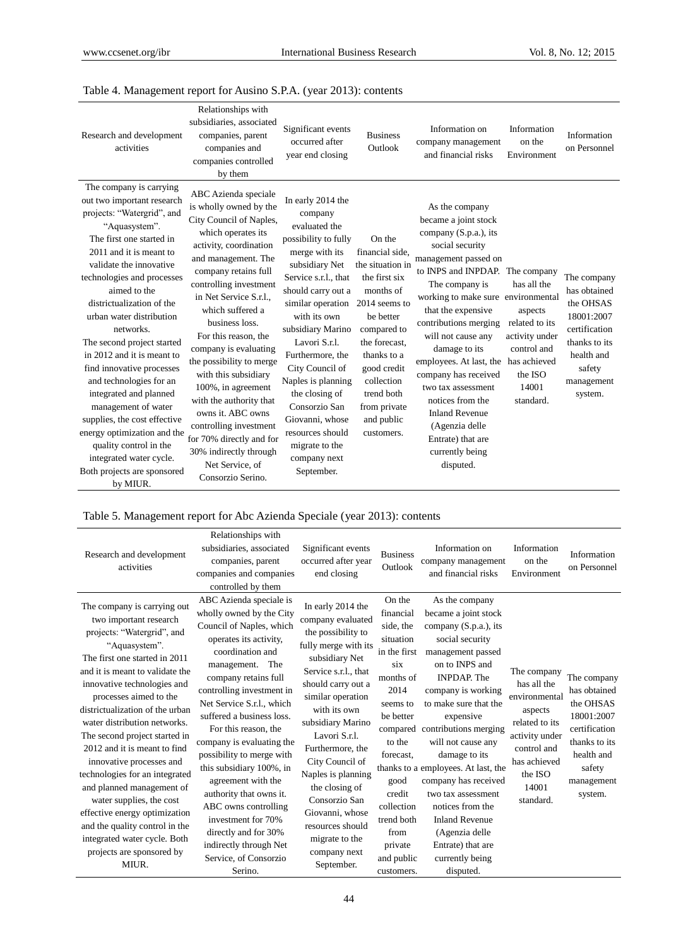| Research and development<br>activities                                                                                                                                                                                                                                                                                                                                                                                                                                                                                                                                                                                                         | Relationships with<br>subsidiaries, associated<br>companies, parent<br>companies and<br>companies controlled<br>by them                                                                                                                                                                                                                                                                                                                                                                                                                                             | Significant events<br>occurred after<br>year end closing                                                                                                                                                                                                                                                                                                                                                                  | <b>Business</b><br>Outlook                                                                                                                                                                                                                      | Information on<br>company management<br>and financial risks                                                                                                                                                                                                                                                                                                                                                                                                                                           | Information<br>on the<br>Environment                                                                       | Information<br>on Personnel                                                                                                               |
|------------------------------------------------------------------------------------------------------------------------------------------------------------------------------------------------------------------------------------------------------------------------------------------------------------------------------------------------------------------------------------------------------------------------------------------------------------------------------------------------------------------------------------------------------------------------------------------------------------------------------------------------|---------------------------------------------------------------------------------------------------------------------------------------------------------------------------------------------------------------------------------------------------------------------------------------------------------------------------------------------------------------------------------------------------------------------------------------------------------------------------------------------------------------------------------------------------------------------|---------------------------------------------------------------------------------------------------------------------------------------------------------------------------------------------------------------------------------------------------------------------------------------------------------------------------------------------------------------------------------------------------------------------------|-------------------------------------------------------------------------------------------------------------------------------------------------------------------------------------------------------------------------------------------------|-------------------------------------------------------------------------------------------------------------------------------------------------------------------------------------------------------------------------------------------------------------------------------------------------------------------------------------------------------------------------------------------------------------------------------------------------------------------------------------------------------|------------------------------------------------------------------------------------------------------------|-------------------------------------------------------------------------------------------------------------------------------------------|
| The company is carrying<br>out two important research<br>projects: "Watergrid", and<br>"Aquasystem".<br>The first one started in<br>2011 and it is meant to<br>validate the innovative<br>technologies and processes<br>aimed to the<br>districtualization of the<br>urban water distribution<br>networks.<br>The second project started<br>in 2012 and it is meant to<br>find innovative processes<br>and technologies for an<br>integrated and planned<br>management of water<br>supplies, the cost effective<br>energy optimization and the<br>quality control in the<br>integrated water cycle.<br>Both projects are sponsored<br>by MIUR. | ABC Azienda speciale<br>is wholly owned by the<br>City Council of Naples,<br>which operates its<br>activity, coordination<br>and management. The<br>company retains full<br>controlling investment<br>in Net Service S.r.l<br>which suffered a<br>business loss.<br>For this reason, the<br>company is evaluating<br>the possibility to merge<br>with this subsidiary<br>100%, in agreement<br>with the authority that<br>owns it. ABC owns<br>controlling investment<br>for 70% directly and for<br>30% indirectly through<br>Net Service, of<br>Consorzio Serino. | In early 2014 the<br>company<br>evaluated the<br>possibility to fully<br>merge with its<br>subsidiary Net<br>Service s.r.l., that<br>should carry out a<br>similar operation<br>with its own<br>subsidiary Marino<br>Lavori S.r.l.<br>Furthermore, the<br>City Council of<br>Naples is planning<br>the closing of<br>Consorzio San<br>Giovanni, whose<br>resources should<br>migrate to the<br>company next<br>September. | On the<br>financial side,<br>the situation in<br>the first six<br>months of<br>2014 seems to<br>be better<br>compared to<br>the forecast.<br>thanks to a<br>good credit<br>collection<br>trend both<br>from private<br>and public<br>customers. | As the company<br>became a joint stock<br>company (S.p.a.), its<br>social security<br>management passed on<br>to INPS and INPDAP. The company<br>The company is<br>working to make sure environmental<br>that the expensive<br>contributions merging<br>will not cause any<br>damage to its<br>employees. At last, the has achieved<br>company has received<br>two tax assessment<br>notices from the<br><b>Inland Revenue</b><br>(Agenzia delle<br>Entrate) that are<br>currently being<br>disputed. | has all the<br>aspects<br>related to its<br>activity under<br>control and<br>the ISO<br>14001<br>standard. | The company<br>has obtained<br>the OHSAS<br>18001:2007<br>certification<br>thanks to its<br>health and<br>safety<br>management<br>system. |

# Table 4. Management report for Ausino S.P.A. (year 2013): contents

| Table 5. Management report for Abc Azienda Speciale (year 2013): contents |  |  |  |
|---------------------------------------------------------------------------|--|--|--|
|                                                                           |  |  |  |

|                                                                                                                                                                                                                                                                                                                                                                                                                                                                                                                                                                                                                                       | Relationships with                                                                                                                                                                                                                                                                                                                                                                                                                                                                                                                                                 |                                                                                                                                                                                                                                                                                                                                                                                                                        |                                                                                                                                                                                                                                                    |                                                                                                                                                                                                                                                                                                                                                                                                                                                                                      |                                                                                                                                                            |                                                                                                                                           |
|---------------------------------------------------------------------------------------------------------------------------------------------------------------------------------------------------------------------------------------------------------------------------------------------------------------------------------------------------------------------------------------------------------------------------------------------------------------------------------------------------------------------------------------------------------------------------------------------------------------------------------------|--------------------------------------------------------------------------------------------------------------------------------------------------------------------------------------------------------------------------------------------------------------------------------------------------------------------------------------------------------------------------------------------------------------------------------------------------------------------------------------------------------------------------------------------------------------------|------------------------------------------------------------------------------------------------------------------------------------------------------------------------------------------------------------------------------------------------------------------------------------------------------------------------------------------------------------------------------------------------------------------------|----------------------------------------------------------------------------------------------------------------------------------------------------------------------------------------------------------------------------------------------------|--------------------------------------------------------------------------------------------------------------------------------------------------------------------------------------------------------------------------------------------------------------------------------------------------------------------------------------------------------------------------------------------------------------------------------------------------------------------------------------|------------------------------------------------------------------------------------------------------------------------------------------------------------|-------------------------------------------------------------------------------------------------------------------------------------------|
| Research and development<br>activities                                                                                                                                                                                                                                                                                                                                                                                                                                                                                                                                                                                                | subsidiaries, associated<br>companies, parent<br>companies and companies<br>controlled by them                                                                                                                                                                                                                                                                                                                                                                                                                                                                     | Significant events<br>occurred after year<br>end closing                                                                                                                                                                                                                                                                                                                                                               | <b>Business</b><br>Outlook                                                                                                                                                                                                                         | Information on<br>company management<br>and financial risks                                                                                                                                                                                                                                                                                                                                                                                                                          | Information<br>on the<br>Environment                                                                                                                       | Information<br>on Personnel                                                                                                               |
| The company is carrying out<br>two important research<br>projects: "Watergrid", and<br>"Aquasystem".<br>The first one started in 2011<br>and it is meant to validate the<br>innovative technologies and<br>processes aimed to the<br>districtualization of the urban<br>water distribution networks.<br>The second project started in<br>2012 and it is meant to find<br>innovative processes and<br>technologies for an integrated<br>and planned management of<br>water supplies, the cost<br>effective energy optimization<br>and the quality control in the<br>integrated water cycle. Both<br>projects are sponsored by<br>MIUR. | ABC Azienda speciale is<br>wholly owned by the City<br>Council of Naples, which<br>operates its activity,<br>coordination and<br>management. The<br>company retains full<br>controlling investment in<br>Net Service S.r.l., which<br>suffered a business loss.<br>For this reason, the<br>company is evaluating the<br>possibility to merge with<br>this subsidiary 100%, in<br>agreement with the<br>authority that owns it.<br>ABC owns controlling<br>investment for 70%<br>directly and for 30%<br>indirectly through Net<br>Service, of Consorzio<br>Serino. | In early 2014 the<br>company evaluated<br>the possibility to<br>fully merge with its<br>subsidiary Net<br>Service s.r.l., that<br>should carry out a<br>similar operation<br>with its own<br>subsidiary Marino<br>Lavori S.r.l.<br>Furthermore, the<br>City Council of<br>Naples is planning<br>the closing of<br>Consorzio San<br>Giovanni, whose<br>resources should<br>migrate to the<br>company next<br>September. | On the<br>financial<br>side, the<br>situation<br>in the first<br>six<br>months of<br>2014<br>seems to<br>be better<br>compared<br>to the<br>forecast,<br>good<br>credit<br>collection<br>trend both<br>from<br>private<br>and public<br>customers. | As the company<br>became a joint stock<br>company (S.p.a.), its<br>social security<br>management passed<br>on to INPS and<br><b>INPDAP.</b> The<br>company is working<br>to make sure that the<br>expensive<br>contributions merging<br>will not cause any<br>damage to its<br>thanks to a employees. At last, the<br>company has received<br>two tax assessment<br>notices from the<br><b>Inland Revenue</b><br>(Agenzia delle<br>Entrate) that are<br>currently being<br>disputed. | The company<br>has all the<br>environmental<br>aspects<br>related to its<br>activity under<br>control and<br>has achieved<br>the ISO<br>14001<br>standard. | The company<br>has obtained<br>the OHSAS<br>18001:2007<br>certification<br>thanks to its<br>health and<br>safety<br>management<br>system. |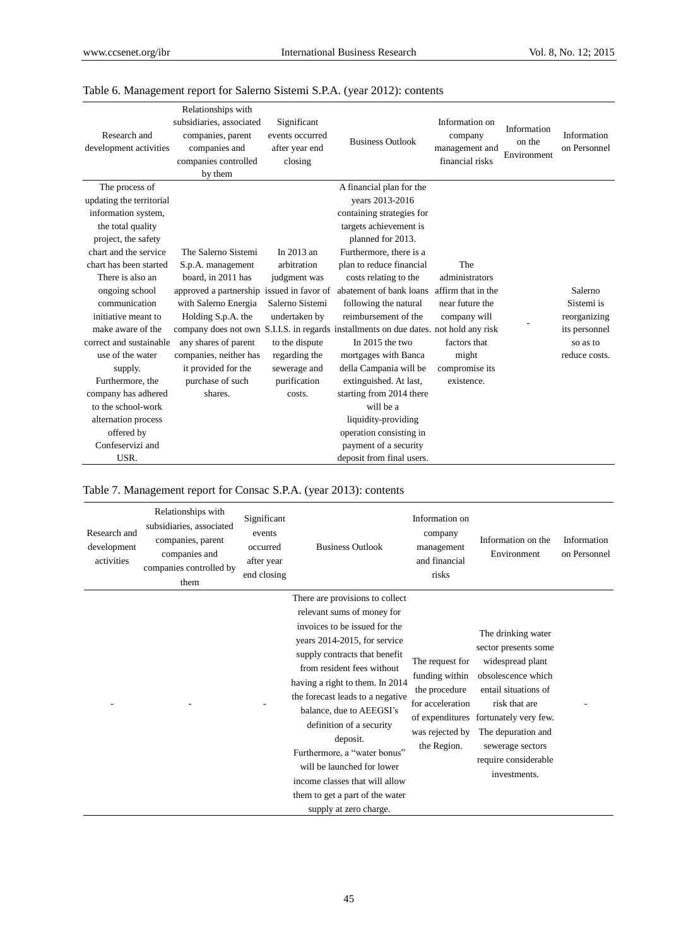| Research and<br>development activities | Relationships with<br>subsidiaries, associated<br>companies, parent<br>companies and<br>companies controlled<br>by them | Significant<br>events occurred<br>after year end<br>closing | <b>Business Outlook</b>                                                               | Information on<br>company<br>management and<br>financial risks | Information<br>on the<br>Environment | Information<br>on Personnel |
|----------------------------------------|-------------------------------------------------------------------------------------------------------------------------|-------------------------------------------------------------|---------------------------------------------------------------------------------------|----------------------------------------------------------------|--------------------------------------|-----------------------------|
| The process of                         |                                                                                                                         |                                                             | A financial plan for the                                                              |                                                                |                                      |                             |
| updating the territorial               |                                                                                                                         |                                                             | vears 2013-2016                                                                       |                                                                |                                      |                             |
| information system,                    |                                                                                                                         |                                                             | containing strategies for                                                             |                                                                |                                      |                             |
| the total quality                      |                                                                                                                         |                                                             | targets achievement is                                                                |                                                                |                                      |                             |
| project, the safety                    |                                                                                                                         |                                                             | planned for 2013.                                                                     |                                                                |                                      |                             |
| chart and the service                  | The Salerno Sistemi                                                                                                     | In 2013 an                                                  | Furthermore, there is a                                                               |                                                                |                                      |                             |
| chart has been started                 | S.p.A. management                                                                                                       | arbitration                                                 | plan to reduce financial                                                              | The                                                            |                                      |                             |
| There is also an                       | board, in 2011 has                                                                                                      | judgment was                                                | costs relating to the                                                                 | administrators                                                 |                                      |                             |
| ongoing school                         | approved a partnership                                                                                                  | issued in favor of                                          | abatement of bank loans                                                               | affirm that in the                                             |                                      | Salerno                     |
| communication                          | with Salerno Energia                                                                                                    | Salerno Sistemi                                             | following the natural                                                                 | near future the                                                |                                      | Sistemi is                  |
| initiative meant to                    | Holding S.p.A. the                                                                                                      | undertaken by                                               | reimbursement of the                                                                  | company will                                                   |                                      | reorganizing                |
| make aware of the                      |                                                                                                                         |                                                             | company does not own S.I.I.S. in regards installments on due dates. not hold any risk |                                                                |                                      | its personnel               |
| correct and sustainable                | any shares of parent                                                                                                    | to the dispute                                              | In $2015$ the two                                                                     | factors that                                                   |                                      | so as to                    |
| use of the water                       | companies, neither has                                                                                                  | regarding the                                               | mortgages with Banca                                                                  | might                                                          |                                      | reduce costs.               |
| supply.                                | it provided for the                                                                                                     | sewerage and                                                | della Campania will be                                                                | compromise its                                                 |                                      |                             |
| Furthermore, the                       | purchase of such                                                                                                        | purification                                                | extinguished. At last,                                                                | existence.                                                     |                                      |                             |
| company has adhered                    | shares.                                                                                                                 | costs.                                                      | starting from 2014 there                                                              |                                                                |                                      |                             |
| to the school-work                     |                                                                                                                         |                                                             | will be a                                                                             |                                                                |                                      |                             |
| alternation process                    |                                                                                                                         |                                                             | liquidity-providing                                                                   |                                                                |                                      |                             |
| offered by                             |                                                                                                                         |                                                             | operation consisting in                                                               |                                                                |                                      |                             |
| Confeservizi and                       |                                                                                                                         |                                                             | payment of a security                                                                 |                                                                |                                      |                             |
| USR.                                   |                                                                                                                         |                                                             | deposit from final users.                                                             |                                                                |                                      |                             |

### Table 6. Management report for Salerno Sistemi S.P.A. (year 2012): contents

Table 7. Management report for Consac S.P.A. (year 2013): contents

| Research and<br>development<br>activities | Relationships with<br>subsidiaries, associated<br>companies, parent<br>companies and<br>companies controlled by<br>them | Significant<br>events<br>occurred<br>after year<br>end closing | <b>Business Outlook</b>                                                                                                                                                                                                                                                                                                                                                                                                                                                                               | Information on<br>company<br>management<br>and financial<br>risks                                        | Information on the<br>Environment                                                                                                                                                                                                                        | Information<br>on Personnel |
|-------------------------------------------|-------------------------------------------------------------------------------------------------------------------------|----------------------------------------------------------------|-------------------------------------------------------------------------------------------------------------------------------------------------------------------------------------------------------------------------------------------------------------------------------------------------------------------------------------------------------------------------------------------------------------------------------------------------------------------------------------------------------|----------------------------------------------------------------------------------------------------------|----------------------------------------------------------------------------------------------------------------------------------------------------------------------------------------------------------------------------------------------------------|-----------------------------|
|                                           |                                                                                                                         |                                                                | There are provisions to collect<br>relevant sums of money for<br>invoices to be issued for the<br>years 2014-2015, for service<br>supply contracts that benefit<br>from resident fees without<br>having a right to them. In 2014<br>the forecast leads to a negative<br>balance, due to AEEGSI's<br>definition of a security<br>deposit.<br>Furthermore, a "water bonus"<br>will be launched for lower<br>income classes that will allow<br>them to get a part of the water<br>supply at zero charge. | The request for<br>funding within<br>the procedure<br>for acceleration<br>was rejected by<br>the Region. | The drinking water<br>sector presents some<br>widespread plant<br>obsolescence which<br>entail situations of<br>risk that are<br>of expenditures fortunately very few.<br>The depuration and<br>sewerage sectors<br>require considerable<br>investments. |                             |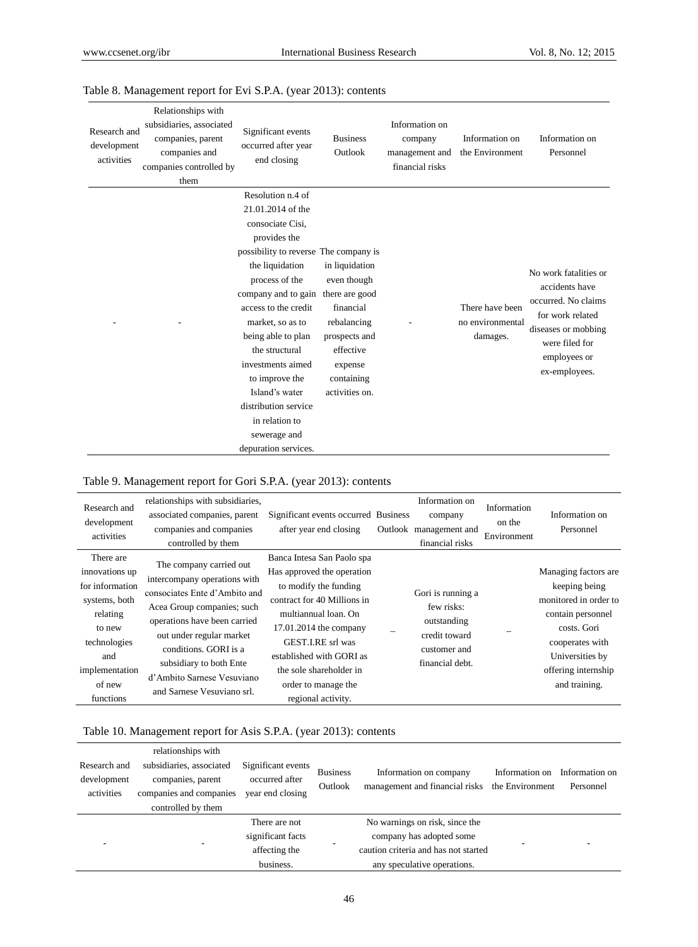| Research and<br>development<br>activities | Relationships with<br>subsidiaries, associated<br>companies, parent<br>companies and<br>companies controlled by<br>them | Significant events<br>occurred after year<br>end closing                                                                                                                                                                                                                                                                                                                                                       | <b>Business</b><br>Outlook                                                                                                                           | Information on<br>company<br>management and<br>financial risks | Information on<br>the Environment               | Information on<br>Personnel                                                                                                                                  |
|-------------------------------------------|-------------------------------------------------------------------------------------------------------------------------|----------------------------------------------------------------------------------------------------------------------------------------------------------------------------------------------------------------------------------------------------------------------------------------------------------------------------------------------------------------------------------------------------------------|------------------------------------------------------------------------------------------------------------------------------------------------------|----------------------------------------------------------------|-------------------------------------------------|--------------------------------------------------------------------------------------------------------------------------------------------------------------|
|                                           |                                                                                                                         | Resolution n.4 of<br>21.01.2014 of the<br>consociate Cisi.<br>provides the<br>possibility to reverse The company is<br>the liquidation<br>process of the<br>company and to gain<br>access to the credit<br>market, so as to<br>being able to plan<br>the structural<br>investments aimed<br>to improve the<br>Island's water<br>distribution service<br>in relation to<br>sewerage and<br>depuration services. | in liquidation<br>even though<br>there are good<br>financial<br>rebalancing<br>prospects and<br>effective<br>expense<br>containing<br>activities on. |                                                                | There have been<br>no environmental<br>damages. | No work fatalities or<br>accidents have<br>occurred. No claims<br>for work related<br>diseases or mobbing<br>were filed for<br>employees or<br>ex-employees. |

### Table 8. Management report for Evi S.P.A. (year 2013): contents

## Table 9. Management report for Gori S.P.A. (year 2013): contents

| Research and<br>development<br>activities                                                                                                             | relationships with subsidiaries,<br>associated companies, parent<br>companies and companies<br>controlled by them                                                                                                                                                                                  | Significant events occurred Business<br>after year end closing                                                                                                                                                                                                                              | Information on<br>company<br>Outlook management and<br>financial risks                             | Information<br>on the<br>Environment | Information on<br>Personnel                                                                                                                                                      |
|-------------------------------------------------------------------------------------------------------------------------------------------------------|----------------------------------------------------------------------------------------------------------------------------------------------------------------------------------------------------------------------------------------------------------------------------------------------------|---------------------------------------------------------------------------------------------------------------------------------------------------------------------------------------------------------------------------------------------------------------------------------------------|----------------------------------------------------------------------------------------------------|--------------------------------------|----------------------------------------------------------------------------------------------------------------------------------------------------------------------------------|
| There are<br>innovations up<br>for information<br>systems, both<br>relating<br>to new<br>technologies<br>and<br>implementation<br>of new<br>functions | The company carried out<br>intercompany operations with<br>consociates Ente d'Ambito and<br>Acea Group companies; such<br>operations have been carried<br>out under regular market<br>conditions. GORI is a<br>subsidiary to both Ente<br>d'Ambito Sarnese Vesuviano<br>and Sarnese Vesuviano srl. | Banca Intesa San Paolo spa<br>Has approved the operation<br>to modify the funding<br>contract for 40 Millions in<br>multiannual loan. On<br>17.01.2014 the company<br>GEST.I.RE srl was<br>established with GORI as<br>the sole shareholder in<br>order to manage the<br>regional activity. | Gori is running a<br>few risks:<br>outstanding<br>credit toward<br>customer and<br>financial debt. |                                      | Managing factors are<br>keeping being<br>monitored in order to<br>contain personnel<br>costs. Gori<br>cooperates with<br>Universities by<br>offering internship<br>and training. |

### Table 10. Management report for Asis S.P.A. (year 2013): contents

|              | relationships with       |                    |                 |                                      |                 |                |
|--------------|--------------------------|--------------------|-----------------|--------------------------------------|-----------------|----------------|
| Research and | subsidiaries, associated | Significant events | <b>Business</b> | Information on company               | Information on  | Information on |
| development  | companies, parent        | occurred after     | Outlook         |                                      |                 |                |
| activities   | companies and companies  | year end closing   |                 | management and financial risks       | the Environment | Personnel      |
|              | controlled by them       |                    |                 |                                      |                 |                |
|              |                          | There are not      |                 | No warnings on risk, since the       |                 |                |
|              |                          | significant facts  |                 | company has adopted some             |                 |                |
|              |                          | affecting the      |                 | caution criteria and has not started |                 |                |
|              |                          | business.          |                 | any speculative operations.          |                 |                |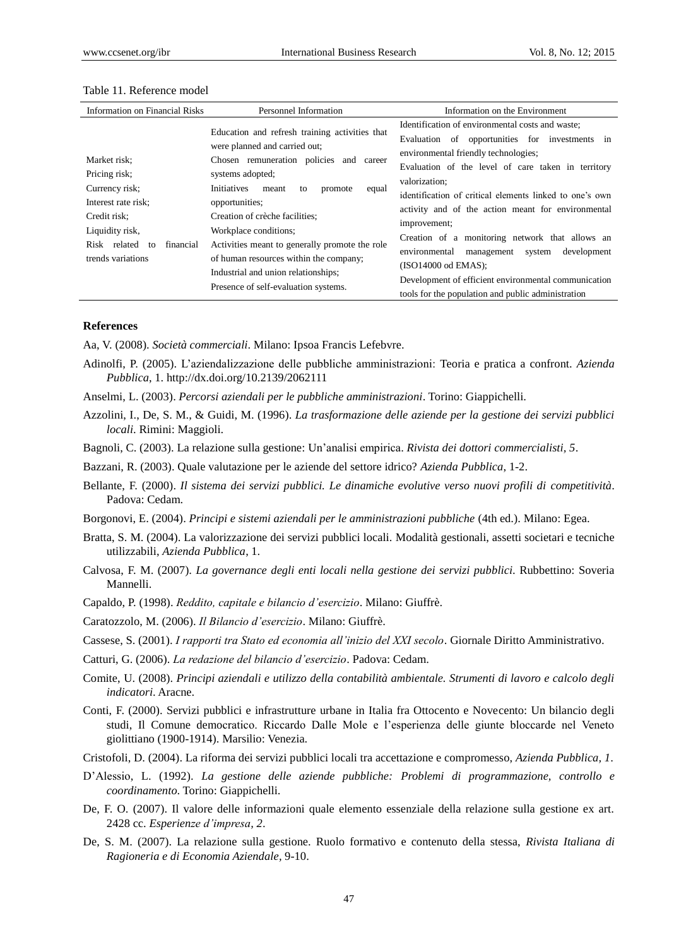| Information on Financial Risks                                                                                                                            | Personnel Information                                                                                                                                                                                                                                                                                                                  | Information on the Environment                                                                                                                                                                                                                                                                                                                                                                        |
|-----------------------------------------------------------------------------------------------------------------------------------------------------------|----------------------------------------------------------------------------------------------------------------------------------------------------------------------------------------------------------------------------------------------------------------------------------------------------------------------------------------|-------------------------------------------------------------------------------------------------------------------------------------------------------------------------------------------------------------------------------------------------------------------------------------------------------------------------------------------------------------------------------------------------------|
| Market risk:<br>Pricing risk;<br>Currency risk:<br>Interest rate risk:<br>Credit risk:<br>Liquidity risk,<br>Risk related<br>financial<br>10 <sup>2</sup> | Education and refresh training activities that<br>were planned and carried out;<br>Chosen remuneration policies and career<br>systems adopted;<br><i>Initiatives</i><br>equal<br>meant<br>promote<br>to<br>opportunities;<br>Creation of crèche facilities;<br>Workplace conditions;<br>Activities meant to generally promote the role | Identification of environmental costs and waste:<br>Evaluation of opportunities for investments in<br>environmental friendly technologies;<br>Evaluation of the level of care taken in territory<br>valorization:<br>identification of critical elements linked to one's own<br>activity and of the action meant for environmental<br>improvement;<br>Creation of a monitoring network that allows an |
| trends variations                                                                                                                                         | of human resources within the company;<br>Industrial and union relationships;<br>Presence of self-evaluation systems.                                                                                                                                                                                                                  | environmental<br>management system<br>development<br>(ISO14000 od EMAS);<br>Development of efficient environmental communication<br>tools for the population and public administration                                                                                                                                                                                                                |

#### Table 11. Reference model

#### **References**

Aa, V. (2008). *Società commerciali*. Milano: Ipsoa Francis Lefebvre.

- Adinolfi, P. (2005). L'aziendalizzazione delle pubbliche amministrazioni: Teoria e pratica a confront. *Azienda Pubblica*, 1. http://dx.doi.org/10.2139/2062111
- Anselmi, L. (2003). *Percorsi aziendali per le pubbliche amministrazioni*. Torino: Giappichelli.
- Azzolini, I., De, S. M., & Guidi, M. (1996). *La trasformazione delle aziende per la gestione dei servizi pubblici locali*. Rimini: Maggioli.
- Bagnoli, C. (2003). La relazione sulla gestione: Un'analisi empirica. *Rivista dei dottori commercialisti, 5*.
- Bazzani, R. (2003). Quale valutazione per le aziende del settore idrico? *Azienda Pubblica*, 1-2.
- Bellante, F. (2000). *Il sistema dei servizi pubblici. Le dinamiche evolutive verso nuovi profili di competitività*. Padova: Cedam.
- Borgonovi, E. (2004). *Principi e sistemi aziendali per le amministrazioni pubbliche* (4th ed.). Milano: Egea.
- Bratta, S. M. (2004). La valorizzazione dei servizi pubblici locali. Modalità gestionali, assetti societari e tecniche utilizzabili, *Azienda Pubblica*, 1.
- Calvosa, F. M. (2007). *La governance degli enti locali nella gestione dei servizi pubblici*. Rubbettino: Soveria Mannelli.
- Capaldo, P. (1998). *Reddito, capitale e bilancio d'esercizio*. Milano: Giuffrè.
- Caratozzolo, M. (2006). *Il Bilancio d'esercizio*. Milano: Giuffrè.
- Cassese, S. (2001). *I rapporti tra Stato ed economia all'inizio del XXI secolo*. Giornale Diritto Amministrativo.
- Catturi, G. (2006). *La redazione del bilancio d'esercizio*. Padova: Cedam.
- Comite, U. (2008). *Principi aziendali e utilizzo della contabilità ambientale. Strumenti di lavoro e calcolo degli indicatori*. Aracne.
- Conti, F. (2000). Servizi pubblici e infrastrutture urbane in Italia fra Ottocento e Novecento: Un bilancio degli studi, Il Comune democratico. Riccardo Dalle Mole e l'esperienza delle giunte bloccarde nel Veneto giolittiano (1900-1914). Marsilio: Venezia.
- Cristofoli, D. (2004). La riforma dei servizi pubblici locali tra accettazione e compromesso, *Azienda Pubblica, 1*.
- D'Alessio, L. (1992). *La gestione delle aziende pubbliche: Problemi di programmazione, controllo e coordinamento*. Torino: Giappichelli.
- De, F. O. (2007). Il valore delle informazioni quale elemento essenziale della relazione sulla gestione ex art. 2428 cc. *Esperienze d'impresa, 2*.
- De, S. M. (2007). La relazione sulla gestione. Ruolo formativo e contenuto della stessa, *Rivista Italiana di Ragioneria e di Economia Aziendale,* 9-10.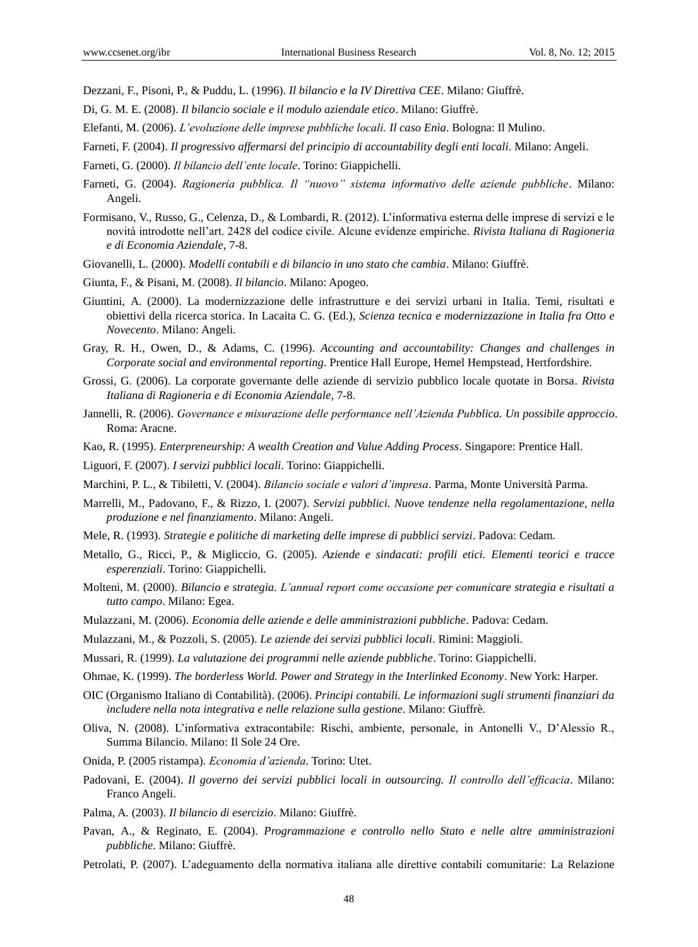Dezzani, F., Pisoni, P., & Puddu, L. (1996). *Il bilancio e la IV Direttiva CEE*. Milano: Giuffrè.

- Di, G. M. E. (2008). *Il bilancio sociale e il modulo aziendale etico*. Milano: Giuffrè.
- Elefanti, M. (2006). *L'evoluzione delle imprese pubbliche locali. Il caso Enìa*. Bologna: Il Mulino.
- Farneti, F. (2004). *Il progressivo affermarsi del principio di accountability degli enti locali*. Milano: Angeli.
- Farneti, G. (2000). *Il bilancio dell'ente locale*. Torino: Giappichelli.
- Farneti, G. (2004). *Ragioneria pubblica. Il "nuovo" sistema informativo delle aziende pubbliche*. Milano: Angeli.
- Formisano, V., Russo, G., Celenza, D., & Lombardi, R. (2012). L'informativa esterna delle imprese di servizi e le novità introdotte nell'art. 2428 del codice civile. Alcune evidenze empiriche. *Rivista Italiana di Ragioneria e di Economia Aziendale,* 7-8.
- Giovanelli, L. (2000). *Modelli contabili e di bilancio in uno stato che cambia*. Milano: Giuffrè.
- Giunta, F., & Pisani, M. (2008). *Il bilancio*. Milano: Apogeo.
- Giuntini, A. (2000). La modernizzazione delle infrastrutture e dei servizi urbani in Italia. Temi, risultati e obiettivi della ricerca storica. In Lacaita C. G. (Ed.), *Scienza tecnica e modernizzazione in Italia fra Otto e Novecento*. Milano: Angeli.
- Gray, R. H., Owen, D., & Adams, C. (1996). *Accounting and accountability: Changes and challenges in Corporate social and environmental reporting*. Prentice Hall Europe, Hemel Hempstead, Hertfordshire.
- Grossi, G. (2006). La corporate governante delle aziende di servizio pubblico locale quotate in Borsa. *Rivista Italiana di Ragioneria e di Economia Aziendale,* 7-8.
- Jannelli, R. (2006). *Governance e misurazione delle performance nell'Azienda Pubblica. Un possibile approccio*. Roma: Aracne.
- Kao, R. (1995). *Enterpreneurship: A wealth Creation and Value Adding Process*. Singapore: Prentice Hall.
- Liguori, F. (2007). *I servizi pubblici locali*. Torino: Giappichelli.
- Marchini, P. L., & Tibiletti, V. (2004). *Bilancio sociale e valori d'impresa*. Parma, Monte Università Parma.
- Marrelli, M., Padovano, F., & Rizzo, I. (2007). *Servizi pubblici. Nuove tendenze nella regolamentazione, nella produzione e nel finanziamento*. Milano: Angeli.
- Mele, R. (1993). *Strategie e politiche di marketing delle imprese di pubblici servizi*. Padova: Cedam.
- Metallo, G., Ricci, P., & Migliccio, G. (2005). *Aziende e sindacati: profili etici. Elementi teorici e tracce esperenziali*. Torino: Giappichelli.
- Molteni, M. (2000). *Bilancio e strategia. L'annual report come occasione per comunicare strategia e risultati a tutto campo*. Milano: Egea.
- Mulazzani, M. (2006). *Economia delle aziende e delle amministrazioni pubbliche*. Padova: Cedam.
- Mulazzani, M., & Pozzoli, S. (2005). *Le aziende dei servizi pubblici locali*. Rimini: Maggioli.
- Mussari, R. (1999). *La valutazione dei programmi nelle aziende pubbliche*. Torino: Giappichelli.
- Ohmae, K. (1999). *The borderless World. Power and Strategy in the Interlinked Economy*. New York: Harper.
- OIC (Organismo Italiano di Contabilità). (2006). *Principi contabili. Le informazioni sugli strumenti finanziari da includere nella nota integrativa e nelle relazione sulla gestione*. Milano: Giuffrè.
- Oliva, N. (2008). L'informativa extracontabile: Rischi, ambiente, personale, in Antonelli V., D'Alessio R., Summa Bilancio. Milano: Il Sole 24 Ore.
- Onida, P. (2005 ristampa). *Economia d'azienda*. Torino: Utet.
- Padovani, E. (2004). *Il governo dei servizi pubblici locali in outsourcing. Il controllo dell'efficacia*. Milano: Franco Angeli.
- Palma, A. (2003). *Il bilancio di esercizio*. Milano: Giuffrè.
- Pavan, A., & Reginato, E. (2004). *Programmazione e controllo nello Stato e nelle altre amministrazioni pubbliche*. Milano: Giuffrè.
- Petrolati, P. (2007). L'adeguamento della normativa italiana alle direttive contabili comunitarie: La Relazione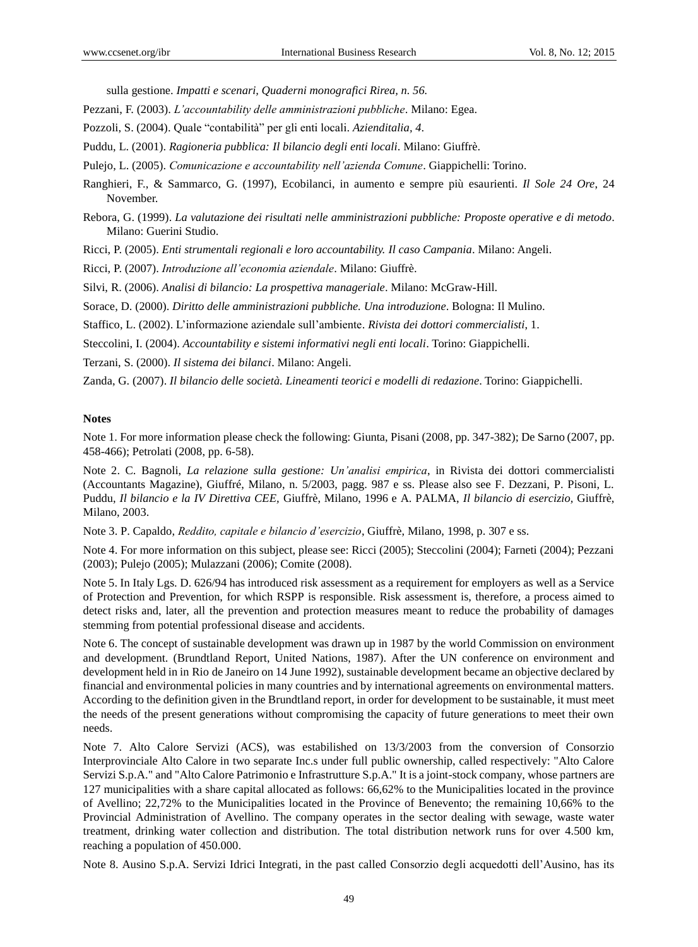sulla gestione. *Impatti e scenari, Quaderni monografici Rirea, n. 56.*

Pezzani, F. (2003). *L'accountability delle amministrazioni pubbliche*. Milano: Egea.

Pozzoli, S. (2004). Quale "contabilità" per gli enti locali. *Azienditalia, 4*.

Puddu, L. (2001). *Ragioneria pubblica: Il bilancio degli enti locali*. Milano: Giuffrè.

Pulejo, L. (2005). *Comunicazione e accountability nell'azienda Comune*. Giappichelli: Torino.

Ranghieri, F., & Sammarco, G. (1997), Ecobilanci, in aumento e sempre più esaurienti. *Il Sole 24 Ore*, 24 November.

Rebora, G. (1999). *La valutazione dei risultati nelle amministrazioni pubbliche: Proposte operative e di metodo*. Milano: Guerini Studio.

Ricci, P. (2005). *Enti strumentali regionali e loro accountability. Il caso Campania*. Milano: Angeli.

Ricci, P. (2007). *Introduzione all'economia aziendale*. Milano: Giuffrè.

Silvi, R. (2006). *Analisi di bilancio: La prospettiva manageriale*. Milano: McGraw-Hill.

Sorace, D. (2000). *Diritto delle amministrazioni pubbliche. Una introduzione*. Bologna: Il Mulino.

Staffico, L. (2002). L'informazione aziendale sull'ambiente. *Rivista dei dottori commercialisti*, 1.

Steccolini, I. (2004). *Accountability e sistemi informativi negli enti locali*. Torino: Giappichelli.

Terzani, S. (2000). *Il sistema dei bilanci*. Milano: Angeli.

Zanda, G. (2007). *Il bilancio delle società. Lineamenti teorici e modelli di redazione*. Torino: Giappichelli.

#### **Notes**

Note 1. For more information please check the following: Giunta, Pisani (2008, pp. 347-382); De Sarno (2007, pp. 458-466); Petrolati (2008, pp. 6-58).

Note 2. C. Bagnoli, *La relazione sulla gestione: Un'analisi empirica*, in Rivista dei dottori commercialisti (Accountants Magazine), Giuffré, Milano, n. 5/2003, pagg. 987 e ss. Please also see F. Dezzani, P. Pisoni, L. Puddu, *Il bilancio e la IV Direttiva CEE,* Giuffrè, Milano, 1996 e A. PALMA, *Il bilancio di esercizio,* Giuffrè, Milano, 2003.

Note 3. P. Capaldo, *Reddito, capitale e bilancio d'esercizio*, Giuffrè, Milano, 1998, p. 307 e ss.

Note 4. For more information on this subject, please see: Ricci (2005); Steccolini (2004); Farneti (2004); Pezzani (2003); Pulejo (2005); Mulazzani (2006); Comite (2008).

Note 5. In Italy Lgs. D. 626/94 has introduced risk assessment as a requirement for employers as well as a Service of Protection and Prevention, for which RSPP is responsible. Risk assessment is, therefore, a process aimed to detect risks and, later, all the prevention and protection measures meant to reduce the probability of damages stemming from potential professional disease and accidents.

Note 6. The concept of sustainable development was drawn up in 1987 by the world Commission on environment and development. (Brundtland Report, United Nations, 1987). After the UN conference on environment and development held in in Rio de Janeiro on 14 June 1992), sustainable development became an objective declared by financial and environmental policies in many countries and by international agreements on environmental matters. According to the definition given in the Brundtland report, in order for development to be sustainable, it must meet the needs of the present generations without compromising the capacity of future generations to meet their own needs.

Note 7. Alto Calore Servizi (ACS), was estabilished on 13/3/2003 from the conversion of Consorzio Interprovinciale Alto Calore in two separate Inc.s under full public ownership, called respectively: "Alto Calore Servizi S.p.A." and "Alto Calore Patrimonio e Infrastrutture S.p.A." It is a joint-stock company, whose partners are 127 municipalities with a share capital allocated as follows: 66,62% to the Municipalities located in the province of Avellino; 22,72% to the Municipalities located in the Province of Benevento; the remaining 10,66% to the Provincial Administration of Avellino. The company operates in the sector dealing with sewage, waste water treatment, drinking water collection and distribution. The total distribution network runs for over 4.500 km, reaching a population of 450.000.

Note 8. Ausino S.p.A. Servizi Idrici Integrati, in the past called Consorzio degli acquedotti dell'Ausino, has its